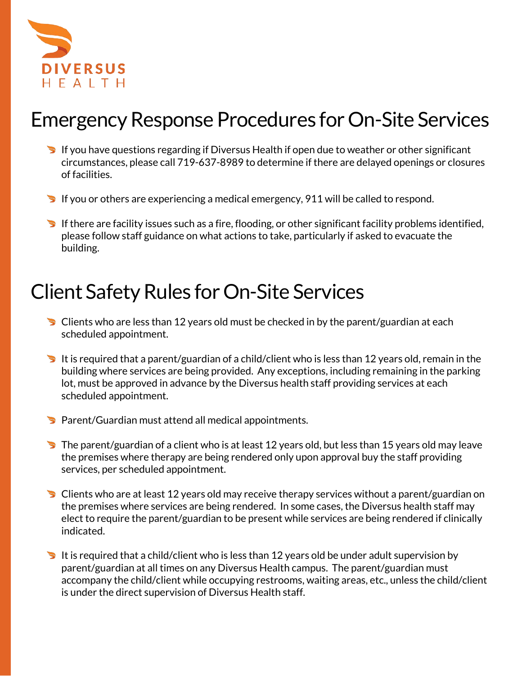

## Emergency Response Procedures for On-Site Services

- If you have questions regarding if Diversus Health if open due to weather or other significant circumstances, please call 719-637-8989 to determine if there are delayed openings or closures of facilities.
- If you or others are experiencing a medical emergency, 911 will be called to respond.
- If there are facility issues such as a fire, flooding, or other significant facility problems identified, please follow staff guidance on what actions to take, particularly if asked to evacuate the building.

## Client Safety Rules for On-Site Services

- $\triangleright$  Clients who are less than 12 years old must be checked in by the parent/guardian at each scheduled appointment.
- It is required that a parent/guardian of a child/client who is less than 12 years old, remain in the building where services are being provided. Any exceptions, including remaining in the parking lot, must be approved in advance by the Diversus health staff providing services at each scheduled appointment.
- Parent/Guardian must attend all medical appointments.
- $\blacktriangleright$  The parent/guardian of a client who is at least 12 years old, but less than 15 years old may leave the premises where therapy are being rendered only upon approval buy the staff providing services, per scheduled appointment.
- Clients who are at least 12 years old may receive therapy services without a parent/guardian on the premises where services are being rendered. In some cases, the Diversus health staff may elect to require the parent/guardian to be present while services are being rendered if clinically indicated.
- It is required that a child/client who is less than 12 years old be under adult supervision by parent/guardian at all times on any Diversus Health campus. The parent/guardian must accompany the child/client while occupying restrooms, waiting areas, etc., unless the child/client is under the direct supervision of Diversus Health staff.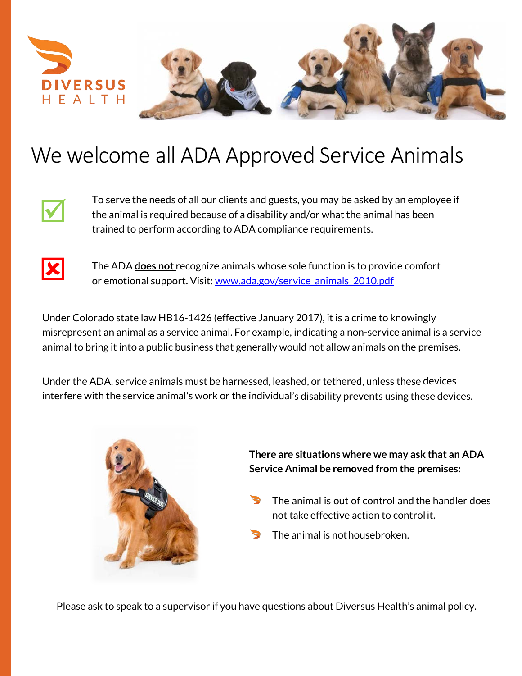

## We welcome all ADA Approved Service Animals



To serve the needs of all our clients and guests, you may be asked by an employee if the animal is required because of a disability and/or what the animal has been trained to perform according to ADA compliance requirements.



The ADA **does not** recognize animals whose sole function is to provide comfort or emotional support. Visit: [www.ada.gov/service\\_animals\\_2010.pdf](http://www.ada.gov/service_animals_2010.pdf)

Under Colorado state law HB16-1426 (effective January 2017), it is a crime to knowingly misrepresent an animal as a service animal. For example, indicating a non-service animal is a service animal to bring it into a public business that generally would not allow animals on the premises.

Under the ADA, service animals must be harnessed, leashed, or tethered, unless these devices interfere with the service animal's work or the individual's disability prevents using these devices.



**There are situations where we may ask that an ADA Service Animal be removed from the premises:**

- The animal is out of control and the handler does not take effective action to controlit.
- The animal is not housebroken.

Please ask to speak to a supervisor if you have questions about Diversus Health's animal policy.